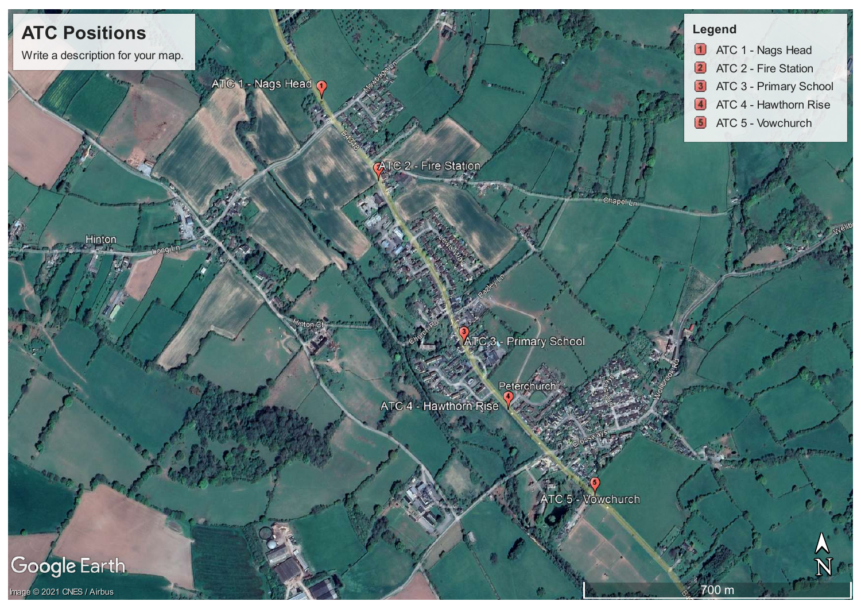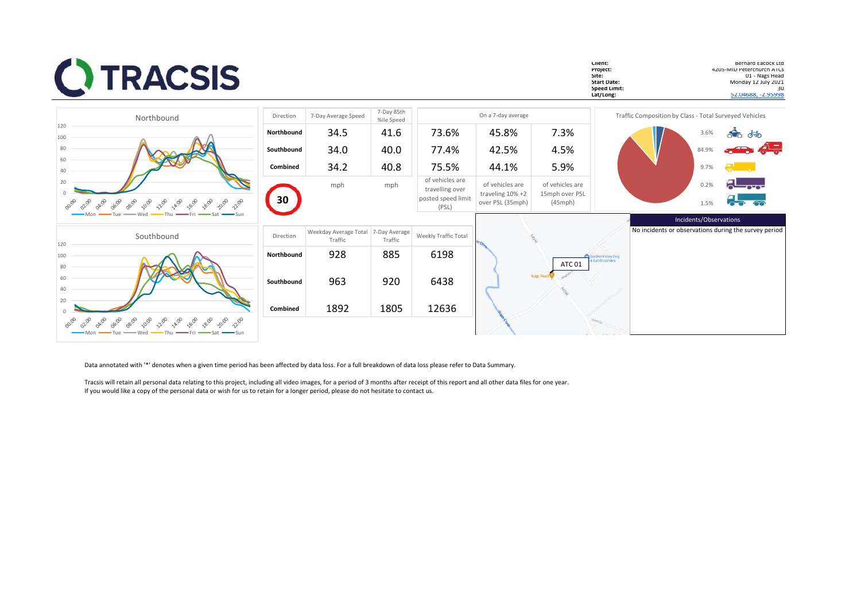| <b>CITRACSIS</b>                                                                                  |            |                                  |                          |                                                                   |                                                             |                                              | Client:<br>Project:<br>Site:<br><b>Start Date:</b><br>Speed Limit:<br>Lat/Long: | Bernard Eacock Ltd<br>4205-MID Peterchurch ATCs<br>Monday 12 July 2021<br>52.04688, -2.95998 | U1 - Nags Head<br>30 |
|---------------------------------------------------------------------------------------------------|------------|----------------------------------|--------------------------|-------------------------------------------------------------------|-------------------------------------------------------------|----------------------------------------------|---------------------------------------------------------------------------------|----------------------------------------------------------------------------------------------|----------------------|
| Northbound                                                                                        | Direction  | 7-Day Average Speed              | 7-Day 85th<br>%ile Speed |                                                                   | On a 7-day average                                          |                                              |                                                                                 | Traffic Composition by Class - Total Surveyed Vehicles                                       |                      |
| 120<br>100                                                                                        | Northbound | 34.5                             | 41.6                     | 73.6%                                                             | 45.8%                                                       | 7.3%                                         |                                                                                 | ை கூ<br>3.6%                                                                                 |                      |
| 80                                                                                                | Southbound | 34.0                             | 40.0                     | 77.4%                                                             | 42.5%                                                       | 4.5%                                         |                                                                                 | din 45<br>84.9%                                                                              |                      |
|                                                                                                   | Combined   | 34.2                             | 40.8                     | 75.5%                                                             | 44.1%                                                       | 5.9%                                         |                                                                                 | 9.7%                                                                                         |                      |
| 20<br>22:00<br>10:00<br>2:00<br>08:00<br>14:00<br>16:00<br>20:00<br><b>Ozio</b><br>20,00<br>18:00 | 30         | mph                              | mph                      | of vehicles are<br>travelling over<br>posted speed limit<br>(PSL) | of vehicles are<br>traveling $10\% + 2$<br>over PSL (35mph) | of vehicles are<br>15mph over PSL<br>(45mph) |                                                                                 | 0.2%<br>1.5%                                                                                 |                      |
| Southbound<br>120                                                                                 | Direction  | Weekday Average Total<br>Traffic | 7-Day Average<br>Traffic | Weekly Traffic Total                                              |                                                             |                                              |                                                                                 | Incidents/Observations<br>No incidents or observations during the survey period              |                      |
| 100<br>80                                                                                         | Northbound | 928                              | 885                      | 6198                                                              |                                                             | <b>ATC 01</b>                                | Iden Valley Dog<br><b>Cut Groomers</b>                                          |                                                                                              |                      |
| 20                                                                                                | Southbound | 963                              | 920                      | 6438                                                              |                                                             |                                              |                                                                                 |                                                                                              |                      |
| 22,00<br>20:00<br>and do to an ord rio wa co<br>28:00<br>$\delta^{0,\Theta}$<br>220               | Combined   | 1892                             | 1805                     | 12636                                                             |                                                             |                                              |                                                                                 |                                                                                              |                      |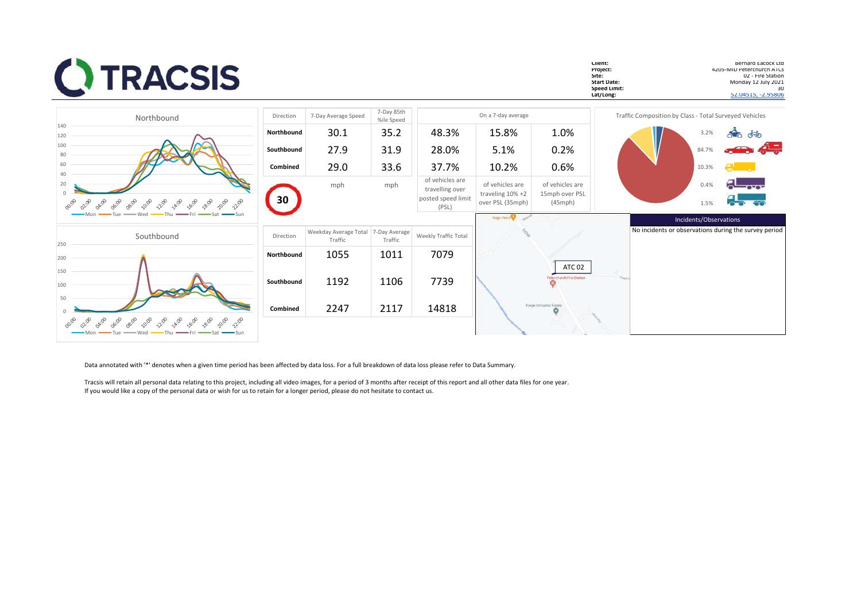| <b>CITRACSIS</b>                                                                             |            |                                  |                          |                                                                   |                                                             |                                              | Client:<br>Project:<br>Site:<br><b>Start Date:</b><br>Speed Limit:<br>Lat/Long: |                                                        |                        | Bernard Eacock Ltd<br>4205-MID Peterchurch ATCs<br>U2 - Fire Station<br>Monday 12 July 2021<br>30<br>52.04515, -2.95806 |
|----------------------------------------------------------------------------------------------|------------|----------------------------------|--------------------------|-------------------------------------------------------------------|-------------------------------------------------------------|----------------------------------------------|---------------------------------------------------------------------------------|--------------------------------------------------------|------------------------|-------------------------------------------------------------------------------------------------------------------------|
| Northbound                                                                                   | Direction  | 7-Day Average Speed              | 7-Day 85th<br>%ile Speed |                                                                   | On a 7-day average                                          |                                              |                                                                                 | Traffic Composition by Class - Total Surveyed Vehicles |                        |                                                                                                                         |
| 140<br>120                                                                                   | Northbound | 30.1                             | 35.2                     | 48.3%                                                             | 15.8%                                                       | 1.0%                                         |                                                                                 |                                                        | 3.2%                   | <b>Sec</b> do                                                                                                           |
| 100<br>80                                                                                    | Southbound | 27.9                             | 31.9                     | 28.0%                                                             | 5.1%                                                        | 0.2%                                         |                                                                                 |                                                        | 84.7%                  | m de                                                                                                                    |
| 60<br>$\Lambda$ <sup><math>\cap</math></sup>                                                 | Combined   | 29.0                             | 33.6                     | 37.7%                                                             | 10.2%                                                       | 0.6%                                         |                                                                                 |                                                        | 10.3%                  |                                                                                                                         |
| 20<br>00:00<br>OB:OD<br>10:00<br>2:00<br>14:00<br>16:00<br>22:00<br><b>O</b> zioo<br>00:00   | 30         | mph                              | mph                      | of vehicles are<br>travelling over<br>posted speed limit<br>(PSL) | of vehicles are<br>traveling $10\% + 2$<br>over PSL (35mph) | of vehicles are<br>15mph over PSL<br>(45mph) |                                                                                 |                                                        | 0.4%<br>1.5%           |                                                                                                                         |
|                                                                                              |            |                                  |                          |                                                                   | Nags Hest                                                   |                                              |                                                                                 |                                                        | Incidents/Observations |                                                                                                                         |
| Southbound<br>250                                                                            | Direction  | Weekday Average Total<br>Traffic | 7-Day Average<br>Traffic | Weekly Traffic Total                                              |                                                             |                                              |                                                                                 |                                                        |                        | No incidents or observations during the survey period                                                                   |
| 200                                                                                          | Northbound | 1055                             | 1011                     | 7079                                                              |                                                             |                                              |                                                                                 |                                                        |                        |                                                                                                                         |
| 150<br>100<br>50                                                                             | Southbound | 1192                             | 1106                     | 7739                                                              |                                                             | <b>ATC 02</b><br>Peterchurch Fire Station    |                                                                                 |                                                        |                        |                                                                                                                         |
|                                                                                              | Combined   | 2247                             | 2117                     | 14818                                                             |                                                             | Forge Industrial Estate<br>۰                 |                                                                                 |                                                        |                        |                                                                                                                         |
| <b>12:00</b><br>16:00<br>10:00<br>2:00<br>22:00<br>Okioo<br>06:00<br>08:00<br>22:00<br>— Wed |            |                                  |                          |                                                                   |                                                             |                                              |                                                                                 |                                                        |                        |                                                                                                                         |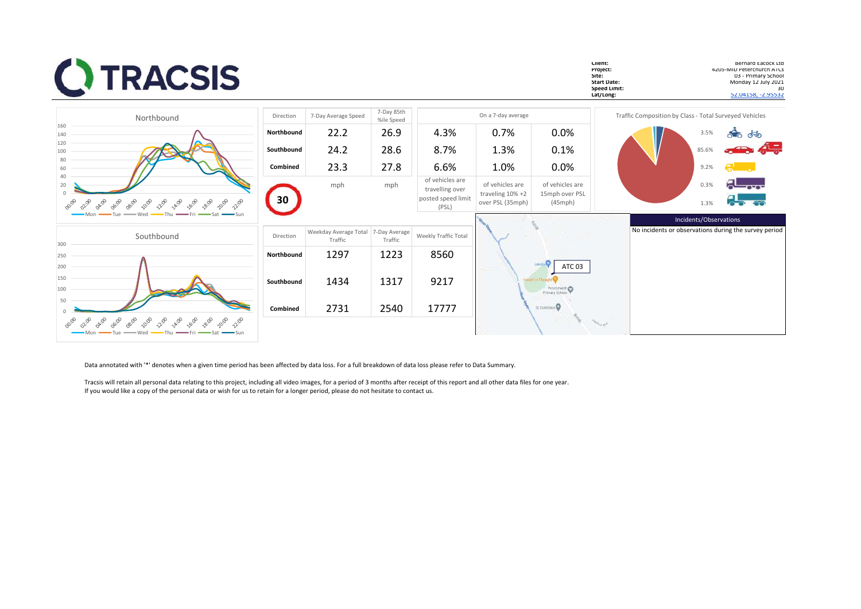| <b>CITRACSIS</b>                                                                                                                     |            |                                  |                          |                                                                   |                                                             |                                                        | Client:<br>Project:<br>Site:<br><b>Start Date:</b><br>Speed Limit:<br>Lat/Long: |                                                        | Bernard Eacock Ltd<br>4205-MID Peterchurch ATCs<br><b>U3 - Primary School</b><br>Monday 12 July 2021<br>30<br>52.04158, -2.95532 |
|--------------------------------------------------------------------------------------------------------------------------------------|------------|----------------------------------|--------------------------|-------------------------------------------------------------------|-------------------------------------------------------------|--------------------------------------------------------|---------------------------------------------------------------------------------|--------------------------------------------------------|----------------------------------------------------------------------------------------------------------------------------------|
| Northbound                                                                                                                           | Direction  | 7-Day Average Speed              | 7-Day 85th<br>%ile Speed |                                                                   | On a 7-day average                                          |                                                        |                                                                                 | Traffic Composition by Class - Total Surveyed Vehicles |                                                                                                                                  |
| 160<br>140                                                                                                                           | Northbound | 22.2                             | 26.9                     | 4.3%                                                              | 0.7%                                                        | 0.0%                                                   |                                                                                 | 3.5%                                                   | இரை சில                                                                                                                          |
| 120<br>100                                                                                                                           | Southbound | 24.2                             | 28.6                     | 8.7%                                                              | 1.3%                                                        | 0.1%                                                   |                                                                                 | 85.6%                                                  | er de                                                                                                                            |
| 80<br>60                                                                                                                             | Combined   | 23.3                             | 27.8                     | 6.6%                                                              | 1.0%                                                        | 0.0%                                                   |                                                                                 | 9.2%                                                   |                                                                                                                                  |
| 40<br>20<br>00:00<br>08:00<br>10:00<br>2:00<br>14:00<br>16:00<br>28:00<br>20:00<br>22:00<br><b>O</b> zioo<br>06:00                   | 30         | mph                              | mph                      | of vehicles are<br>travelling over<br>posted speed limit<br>(PSL) | of vehicles are<br>traveling $10\% + 2$<br>over PSL (35mph) | of vehicles are<br>15mph over PSL<br>$(45 \text{mph})$ |                                                                                 | 0.3%<br>1.3%                                           |                                                                                                                                  |
| $-Sun$                                                                                                                               |            |                                  |                          |                                                                   |                                                             |                                                        |                                                                                 | Incidents/Observations                                 |                                                                                                                                  |
| Southbound<br>300                                                                                                                    | Direction  | Weekday Average Total<br>Traffic | 7-Day Average<br>Traffic | Weekly Traffic Total                                              |                                                             |                                                        |                                                                                 |                                                        | No incidents or observations during the survey period                                                                            |
| 250                                                                                                                                  | Northbound | 1297                             | 1223                     | 8560                                                              |                                                             |                                                        |                                                                                 |                                                        |                                                                                                                                  |
| 200<br>150<br>100                                                                                                                    | Southbound | 1434                             | 1317                     | 9217                                                              |                                                             | Londia <sup>C</sup><br>ATC 03<br>Peterchurch           |                                                                                 |                                                        |                                                                                                                                  |
| 50                                                                                                                                   | Combined   | 2731                             | 2540                     | 17777                                                             |                                                             | St Dubncius <sup>O</sup>                               |                                                                                 |                                                        |                                                                                                                                  |
| 00:00<br>22:00<br>14:00<br>16:00<br><b>OLIB</b><br>04:00<br>06:00<br>08:00<br>10:00<br>-8:00<br>$\sim$<br>22.00<br>$\rightarrow$ Sun |            |                                  |                          |                                                                   |                                                             |                                                        |                                                                                 |                                                        |                                                                                                                                  |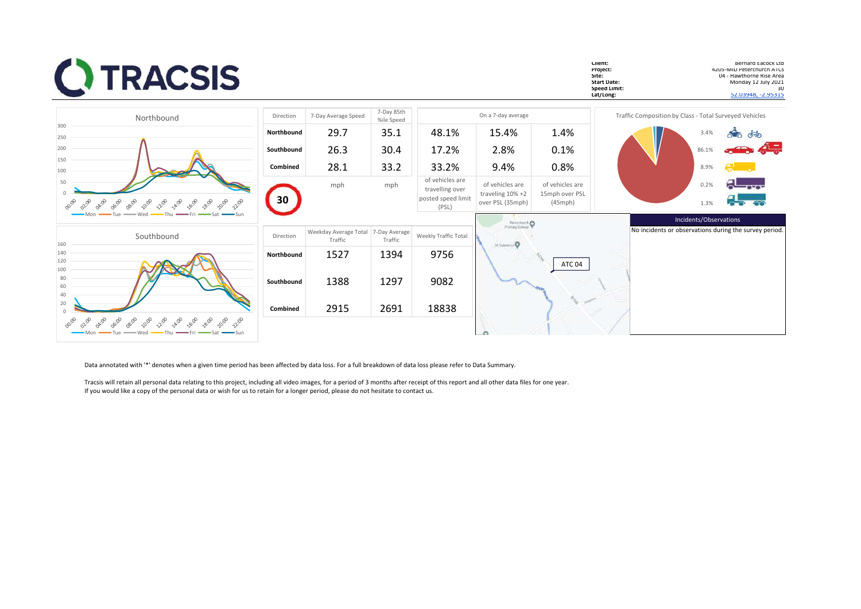| <b>CITRACSIS</b>                                                                                                          |            |                                  |                          |                                                                   |                                                             |                                                        | Client:<br>Project:<br>Site:<br><b>Start Date:</b><br>Speed Limit:<br>Lat/Long: |                                                        |              | Bernard Eacock Ltd<br>4205-MID Peterchurch ATCs<br>04 - Hawthorne Rise Area<br>Monday 12 July 2021<br>30<br>52.03948, -2.95315 |
|---------------------------------------------------------------------------------------------------------------------------|------------|----------------------------------|--------------------------|-------------------------------------------------------------------|-------------------------------------------------------------|--------------------------------------------------------|---------------------------------------------------------------------------------|--------------------------------------------------------|--------------|--------------------------------------------------------------------------------------------------------------------------------|
| Northbound                                                                                                                | Direction  | 7-Day Average Speed              | 7-Day 85th<br>%ile Speed |                                                                   | On a 7-day average                                          |                                                        |                                                                                 | Traffic Composition by Class - Total Surveyed Vehicles |              |                                                                                                                                |
| 300<br>250                                                                                                                | Northbound | 29.7                             | 35.1                     | 48.1%                                                             | 15.4%                                                       | 1.4%                                                   |                                                                                 |                                                        | 3.4%         | <b>ு</b> கூ                                                                                                                    |
| 200                                                                                                                       | Southbound | 26.3                             | 30.4                     | 17.2%                                                             | 2.8%                                                        | 0.1%                                                   |                                                                                 |                                                        | 86.1%        | <del>din</del> 45                                                                                                              |
| 150<br>100                                                                                                                | Combined   | 28.1                             | 33.2                     | 33.2%                                                             | 9.4%                                                        | 0.8%                                                   |                                                                                 |                                                        | 8.9%         |                                                                                                                                |
| 50<br>10:00<br>20:00<br>08:00<br>2:00<br>14:00<br>16:00<br>26:00<br>02:00                                                 | 30         | mph                              | mph                      | of vehicles are<br>travelling over<br>posted speed limit<br>(PSL) | of vehicles are<br>traveling $10\% + 2$<br>over PSL (35mph) | of vehicles are<br>15mph over PSL<br>$(45 \text{mph})$ |                                                                                 |                                                        | 0.2%<br>1.3% |                                                                                                                                |
|                                                                                                                           |            |                                  |                          |                                                                   | Peterchurch                                                 |                                                        |                                                                                 | Incidents/Observations                                 |              |                                                                                                                                |
| Southbound<br>160                                                                                                         | Direction  | Weekday Average Total<br>Traffic | 7-Day Average<br>Traffic | Weekly Traffic Total                                              | St Dubricium <sup>O</sup>                                   |                                                        |                                                                                 | No incidents or observations during the survey period. |              |                                                                                                                                |
| 140<br>120<br>100                                                                                                         | Northbound | 1527                             | 1394                     | 9756                                                              |                                                             | ATC <sub>04</sub>                                      |                                                                                 |                                                        |              |                                                                                                                                |
| 80<br>60<br>40                                                                                                            | Southbound | 1388                             | 1297                     | 9082                                                              |                                                             |                                                        |                                                                                 |                                                        |              |                                                                                                                                |
| 20                                                                                                                        | Combined   | 2915                             | 2691                     | 18838                                                             |                                                             |                                                        |                                                                                 |                                                        |              |                                                                                                                                |
| 20:00<br><b>LA:00</b><br>08:00<br>10:00<br>220<br>16:00<br>18:00<br>22:00<br>24:00<br>OGIOD<br>$\delta_{\infty}$<br>22:00 |            |                                  |                          |                                                                   |                                                             |                                                        |                                                                                 |                                                        |              |                                                                                                                                |